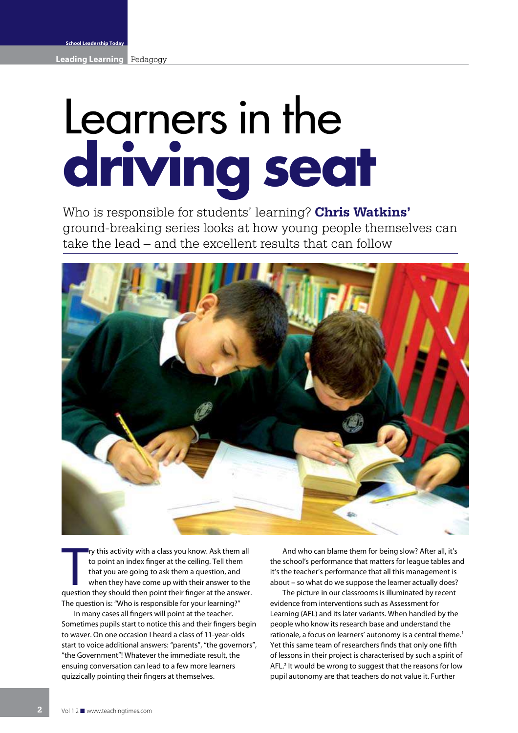## Learners in the **driving seat**

Who is responsible for students' learning? **Chris Watkins'** ground-breaking series looks at how young people themselves can take the lead – and the excellent results that can follow



It is activity with a class you know. Ask them all<br>to point an index finger at the ceiling. Tell them<br>that you are going to ask them a question, and<br>when they have come up with their answer to the<br>question they should then ry this activity with a class you know. Ask them all to point an index finger at the ceiling. Tell them that you are going to ask them a question, and when they have come up with their answer to the The question is: "Who is responsible for your learning?"

In many cases all fingers will point at the teacher. Sometimes pupils start to notice this and their fingers begin to waver. On one occasion I heard a class of 11-year-olds start to voice additional answers: "parents", "the governors", "the Government"! Whatever the immediate result, the ensuing conversation can lead to a few more learners quizzically pointing their fingers at themselves.

And who can blame them for being slow? After all, it's the school's performance that matters for league tables and it's the teacher's performance that all this management is about – so what do we suppose the learner actually does?

The picture in our classrooms is illuminated by recent evidence from interventions such as Assessment for Learning (AFL) and its later variants. When handled by the people who know its research base and understand the rationale, a focus on learners' autonomy is a central theme.<sup>1</sup> Yet this same team of researchers finds that only one fifth of lessons in their project is characterised by such a spirit of AFL.<sup>2</sup> It would be wrong to suggest that the reasons for low pupil autonomy are that teachers do not value it. Further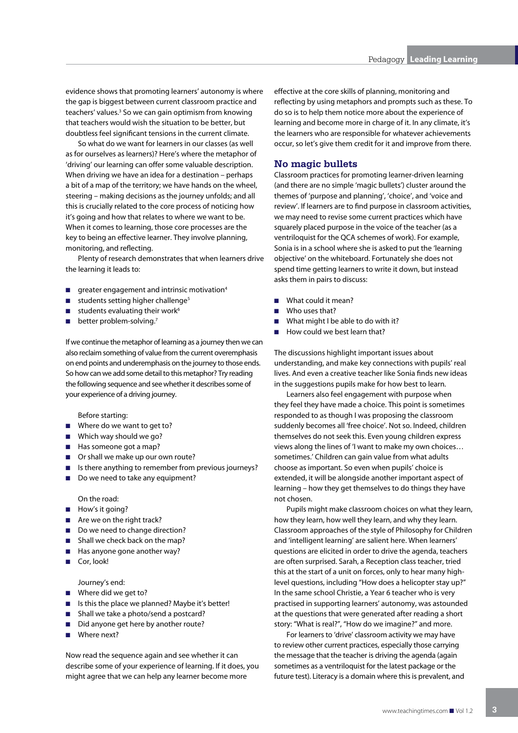evidence shows that promoting learners' autonomy is where the gap is biggest between current classroom practice and teachers' values.<sup>3</sup> So we can gain optimism from knowing that teachers would wish the situation to be better, but doubtless feel significant tensions in the current climate.

So what do we want for learners in our classes (as well as for ourselves as learners)? Here's where the metaphor of 'driving' our learning can offer some valuable description. When driving we have an idea for a destination – perhaps a bit of a map of the territory; we have hands on the wheel, steering – making decisions as the journey unfolds; and all this is crucially related to the core process of noticing how it's going and how that relates to where we want to be. When it comes to learning, those core processes are the key to being an effective learner. They involve planning, monitoring, and reflecting.

Plenty of research demonstrates that when learners drive the learning it leads to:

- greater engagement and intrinsic motivation<sup>4</sup> n
- students setting higher challenge<sup>5</sup> n
- students evaluating their work<sup>6</sup> n
- $\blacksquare$  better problem-solving.<sup>7</sup>

If we continue the metaphor of learning as a journey then we can also reclaim something of value from the current overemphasis on end points and underemphasis on the journey to those ends. So how can we add some detail to this metaphor? Try reading the following sequence and see whether it describes some of your experience of a driving journey.

Before starting:

- Where do we want to get to?
- Which way should we go?
- Has someone got a map?
- Or shall we make up our own route?
- Is there anything to remember from previous journeys?
- Do we need to take any equipment?

On the road:

- How's it going?
- Are we on the right track?
- Do we need to change direction?
- Shall we check back on the map?
- **Has anyone gone another way?**
- Cor, look!

Journey's end:

- Where did we get to?
- **B** Is this the place we planned? Maybe it's better!
- Shall we take a photo/send a postcard?
- Did anyone get here by another route?
- Where next?

Now read the sequence again and see whether it can describe some of your experience of learning. If it does, you might agree that we can help any learner become more

effective at the core skills of planning, monitoring and reflecting by using metaphors and prompts such as these. To do so is to help them notice more about the experience of learning and become more in charge of it. In any climate, it's the learners who are responsible for whatever achievements occur, so let's give them credit for it and improve from there.

## **No magic bullets**

Classroom practices for promoting learner-driven learning (and there are no simple 'magic bullets') cluster around the themes of 'purpose and planning', 'choice', and 'voice and review'. If learners are to find purpose in classroom activities, we may need to revise some current practices which have squarely placed purpose in the voice of the teacher (as a ventriloquist for the QCA schemes of work). For example, Sonia is in a school where she is asked to put the 'learning objective' on the whiteboard. Fortunately she does not spend time getting learners to write it down, but instead asks them in pairs to discuss:

- What could it mean? n
- Who uses that? n
- What might I be able to do with it? n
- How could we best learn that? n

The discussions highlight important issues about understanding, and make key connections with pupils' real lives. And even a creative teacher like Sonia finds new ideas in the suggestions pupils make for how best to learn.

Learners also feel engagement with purpose when they feel they have made a choice. This point is sometimes responded to as though I was proposing the classroom suddenly becomes all 'free choice'. Not so. Indeed, children themselves do not seek this. Even young children express views along the lines of 'I want to make my own choices… sometimes.' Children can gain value from what adults choose as important. So even when pupils' choice is extended, it will be alongside another important aspect of learning – how they get themselves to do things they have not chosen.

Pupils might make classroom choices on what they learn, how they learn, how well they learn, and why they learn. Classroom approaches of the style of Philosophy for Children and 'intelligent learning' are salient here. When learners' questions are elicited in order to drive the agenda, teachers are often surprised. Sarah, a Reception class teacher, tried this at the start of a unit on forces, only to hear many highlevel questions, including "How does a helicopter stay up?" In the same school Christie, a Year 6 teacher who is very practised in supporting learners' autonomy, was astounded at the questions that were generated after reading a short story: "What is real?", "How do we imagine?" and more.

For learners to 'drive' classroom activity we may have to review other current practices, especially those carrying the message that the teacher is driving the agenda (again sometimes as a ventriloquist for the latest package or the future test). Literacy is a domain where this is prevalent, and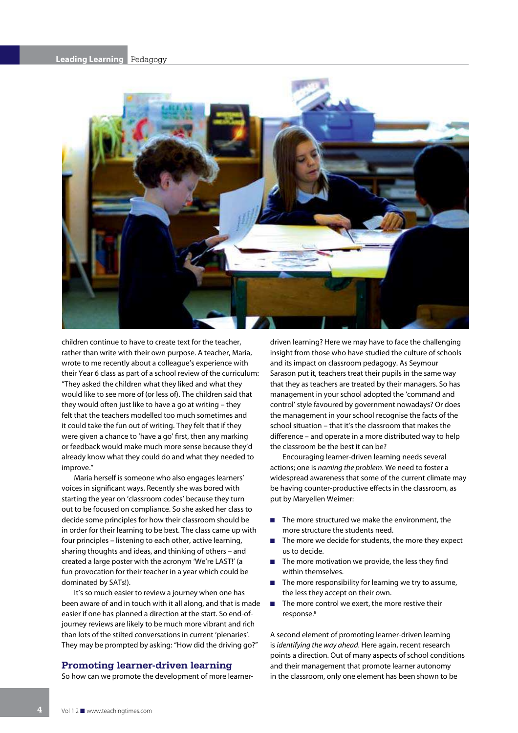

children continue to have to create text for the teacher, rather than write with their own purpose. A teacher, Maria, wrote to me recently about a colleague's experience with their Year 6 class as part of a school review of the curriculum: "They asked the children what they liked and what they would like to see more of (or less of). The children said that they would often just like to have a go at writing – they felt that the teachers modelled too much sometimes and it could take the fun out of writing. They felt that if they were given a chance to 'have a go' first, then any marking or feedback would make much more sense because they'd already know what they could do and what they needed to improve."

Maria herself is someone who also engages learners' voices in significant ways. Recently she was bored with starting the year on 'classroom codes' because they turn out to be focused on compliance. So she asked her class to decide some principles for how their classroom should be in order for their learning to be best. The class came up with four principles – listening to each other, active learning, sharing thoughts and ideas, and thinking of others – and created a large poster with the acronym 'We're LAST!' (a fun provocation for their teacher in a year which could be dominated by SATs!).

It's so much easier to review a journey when one has been aware of and in touch with it all along, and that is made easier if one has planned a direction at the start. So end-ofjourney reviews are likely to be much more vibrant and rich than lots of the stilted conversations in current 'plenaries'. They may be prompted by asking: "How did the driving go?"

## **Promoting learner-driven learning**

So how can we promote the development of more learner-

driven learning? Here we may have to face the challenging insight from those who have studied the culture of schools and its impact on classroom pedagogy. As Seymour Sarason put it, teachers treat their pupils in the same way that they as teachers are treated by their managers. So has management in your school adopted the 'command and control' style favoured by government nowadays? Or does the management in your school recognise the facts of the school situation – that it's the classroom that makes the difference – and operate in a more distributed way to help the classroom be the best it can be?

Encouraging learner-driven learning needs several actions; one is naming the problem. We need to foster a widespread awareness that some of the current climate may be having counter-productive effects in the classroom, as put by Maryellen Weimer:

- The more structured we make the environment, the more structure the students need.
- The more we decide for students, the more they expect us to decide. n
- The more motivation we provide, the less they find within themselves.
- The more responsibility for learning we try to assume, the less they accept on their own. n
- The more control we exert, the more restive their response.<sup>8</sup> n

A second element of promoting learner-driven learning is identifying the way ahead. Here again, recent research points a direction. Out of many aspects of school conditions and their management that promote learner autonomy in the classroom, only one element has been shown to be